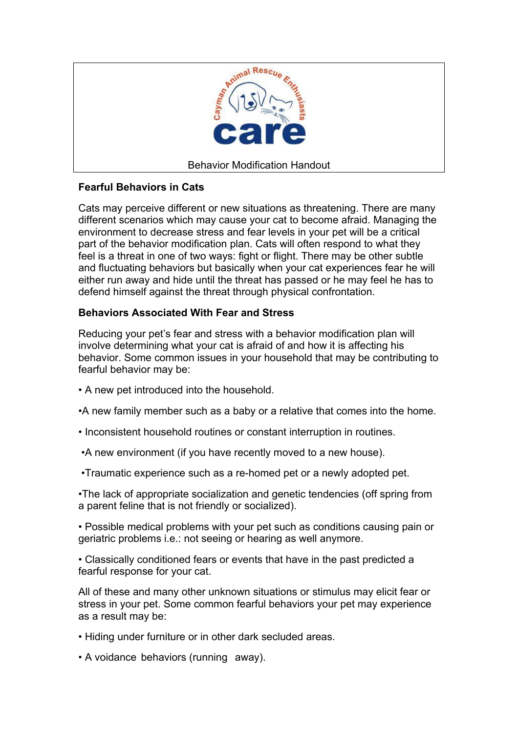

# **Fearful Behaviors in Cats**

Cats may perceive different or new situations as threatening. There are many different scenarios which may cause your cat to become afraid. Managing the environment to decrease stress and fear levels in your pet will be a critical part of the behavior modification plan. Cats will often respond to what they feel is a threat in one of two ways: fight or flight. There may be other subtle and fluctuating behaviors but basically when your cat experiences fear he will either run away and hide until the threat has passed or he may feel he has to defend himself against the threat through physical confrontation.

# **Behaviors Associated With Fear and Stress**

Reducing your pet's fear and stress with a behavior modification plan will involve determining what your cat is afraid of and how it is affecting his behavior. Some common issues in your household that may be contributing to fearful behavior may be:

- A new pet introduced into the household.
- •A new family member such as a baby or a relative that comes into the home.
- Inconsistent household routines or constant interruption in routines.
- •A new environment (if you have recently moved to a new house).
- •Traumatic experience such as a re-homed pet or a newly adopted pet.

•The lack of appropriate socialization and genetic tendencies (off spring from a parent feline that is not friendly or socialized).

• Possible medical problems with your pet such as conditions causing pain or geriatric problems i.e.: not seeing or hearing as well anymore.

• Classically conditioned fears or events that have in the past predicted a fearful response for your cat.

All of these and many other unknown situations or stimulus may elicit fear or stress in your pet. Some common fearful behaviors your pet may experience as a result may be:

- Hiding under furniture or in other dark secluded areas.
- A voidance behaviors (running away).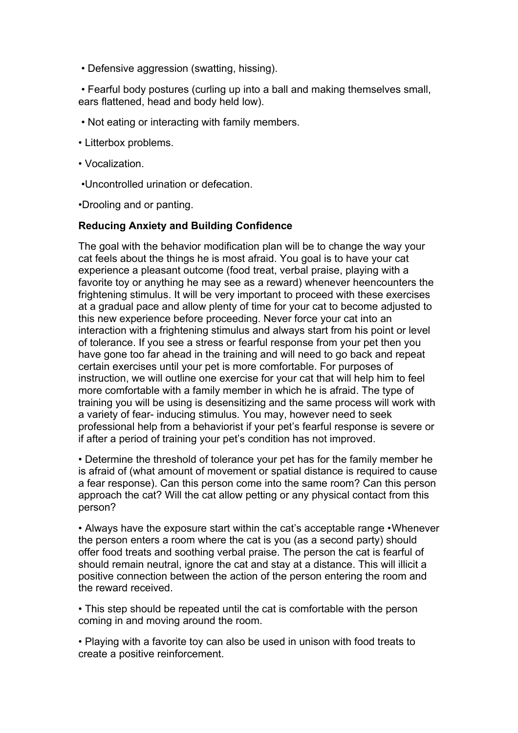• Defensive aggression (swatting, hissing).

 • Fearful body postures (curling up into a ball and making themselves small, ears flattened, head and body held low).

- Not eating or interacting with family members.
- Litterbox problems.
- Vocalization.
- •Uncontrolled urination or defecation.

•Drooling and or panting.

### **Reducing Anxiety and Building Confidence**

The goal with the behavior modification plan will be to change the way your cat feels about the things he is most afraid. You goal is to have your cat experience a pleasant outcome (food treat, verbal praise, playing with a favorite toy or anything he may see as a reward) whenever heencounters the frightening stimulus. It will be very important to proceed with these exercises at a gradual pace and allow plenty of time for your cat to become adjusted to this new experience before proceeding. Never force your cat into an interaction with a frightening stimulus and always start from his point or level of tolerance. If you see a stress or fearful response from your pet then you have gone too far ahead in the training and will need to go back and repeat certain exercises until your pet is more comfortable. For purposes of instruction, we will outline one exercise for your cat that will help him to feel more comfortable with a family member in which he is afraid. The type of training you will be using is desensitizing and the same process will work with a variety of fear- inducing stimulus. You may, however need to seek professional help from a behaviorist if your pet's fearful response is severe or if after a period of training your pet's condition has not improved.

• Determine the threshold of tolerance your pet has for the family member he is afraid of (what amount of movement or spatial distance is required to cause a fear response). Can this person come into the same room? Can this person approach the cat? Will the cat allow petting or any physical contact from this person?

• Always have the exposure start within the cat's acceptable range • Whenever the person enters a room where the cat is you (as a second party) should offer food treats and soothing verbal praise. The person the cat is fearful of should remain neutral, ignore the cat and stay at a distance. This will illicit a positive connection between the action of the person entering the room and the reward received.

• This step should be repeated until the cat is comfortable with the person coming in and moving around the room.

• Playing with a favorite toy can also be used in unison with food treats to create a positive reinforcement.